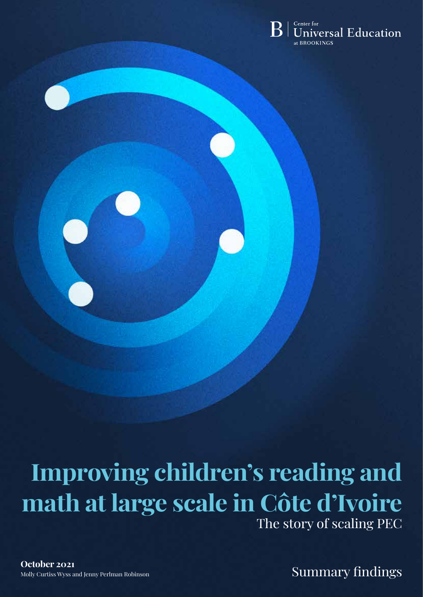

# **Improving children's reading and math at large scale in Côte d'Ivoire** The story of scaling PEC

**Improving Children's College Summary findings** Summary findings Molly Curtiss Wyss and Jenny Perlman Robinson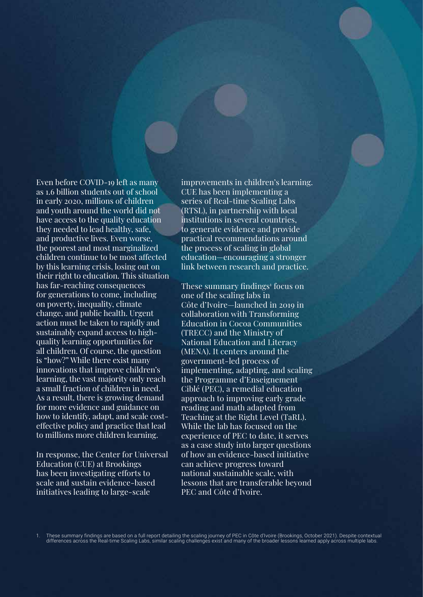Even before COVID-19 left as many as 1.6 billion students out of school in early 2020, millions of children and youth around the world did not have access to the quality education they needed to lead healthy, safe, and productive lives. Even worse, the poorest and most marginalized children continue to be most affected by this learning crisis, losing out on their right to education. This situation has far-reaching consequences for generations to come, including on poverty, inequality, climate change, and public health. Urgent action must be taken to rapidly and sustainably expand access to highquality learning opportunities for all children. Of course, the question is "how?" While there exist many innovations that improve children's learning, the vast majority only reach a small fraction of children in need. As a result, there is growing demand for more evidence and guidance on how to identify, adapt, and scale costeffective policy and practice that lead to millions more children learning.

In response, the Center for Universal Education (CUE) at Brookings has been investigating efforts to scale and sustain evidence-based initiatives leading to large-scale

improvements in children's learning. CUE has been implementing a series of Real-time Scaling Labs (RTSL), in partnership with local institutions in several countries, to generate evidence and provide practical recommendations around the process of scaling in global education—encouraging a stronger link between research and practice.

These summary findings<sup>1</sup> focus on one of the scaling labs in Côte d'Ivoire—launched in 2019 in collaboration with Transforming Education in Cocoa Communities (TRECC) and the Ministry of National Education and Literacy (MENA). It centers around the government-led process of implementing, adapting, and scaling the Programme d'Enseignement Ciblé (PEC), a remedial education approach to improving early grade reading and math adapted from Teaching at the Right Level (TaRL). While the lab has focused on the experience of PEC to date, it serves as a case study into larger questions of how an evidence-based initiative can achieve progress toward national sustainable scale, with lessons that are transferable beyond PEC and Côte d'Ivoire.

1. These summary findings are based on a full report detailing the scaling journey of PEC in Côte d'Ivoire (Brookings, October 2021). Despite contextual differences across the Real-time Scaling Labs, similar scaling challenges exist and many of the broader lessons learned apply across multiple labs.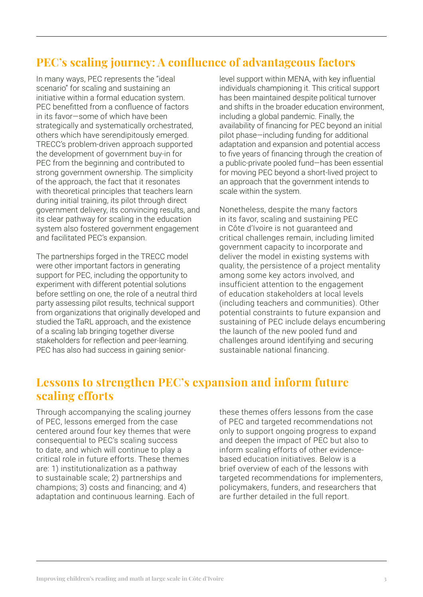### **PEC's scaling journey: A confluence of advantageous factors**

In many ways, PEC represents the "ideal scenario" for scaling and sustaining an initiative within a formal education system. PEC benefitted from a confluence of factors in its favor—some of which have been strategically and systematically orchestrated, others which have serendipitously emerged. TRECC's problem-driven approach supported the development of government buy-in for PEC from the beginning and contributed to strong government ownership. The simplicity of the approach, the fact that it resonates with theoretical principles that teachers learn during initial training, its pilot through direct government delivery, its convincing results, and its clear pathway for scaling in the education system also fostered government engagement and facilitated PEC's expansion.

The partnerships forged in the TRECC model were other important factors in generating support for PEC, including the opportunity to experiment with different potential solutions before settling on one, the role of a neutral third party assessing pilot results, technical support from organizations that originally developed and studied the TaRL approach, and the existence of a scaling lab bringing together diverse stakeholders for reflection and peer-learning. PEC has also had success in gaining seniorlevel support within MENA, with key influential individuals championing it. This critical support has been maintained despite political turnover and shifts in the broader education environment, including a global pandemic. Finally, the availability of financing for PEC beyond an initial pilot phase—including funding for additional adaptation and expansion and potential access to five years of financing through the creation of a public-private pooled fund—has been essential for moving PEC beyond a short-lived project to an approach that the government intends to scale within the system.

Nonetheless, despite the many factors in its favor, scaling and sustaining PEC in Côte d'Ivoire is not guaranteed and critical challenges remain, including limited government capacity to incorporate and deliver the model in existing systems with quality, the persistence of a project mentality among some key actors involved, and insufficient attention to the engagement of education stakeholders at local levels (including teachers and communities). Other potential constraints to future expansion and sustaining of PEC include delays encumbering the launch of the new pooled fund and challenges around identifying and securing sustainable national financing.

### **Lessons to strengthen PEC's expansion and inform future scaling efforts**

Through accompanying the scaling journey of PEC, lessons emerged from the case centered around four key themes that were consequential to PEC's scaling success to date, and which will continue to play a critical role in future efforts. These themes are: 1) institutionalization as a pathway to sustainable scale; 2) partnerships and champions; 3) costs and financing; and 4) adaptation and continuous learning. Each of

these themes offers lessons from the case of PEC and targeted recommendations not only to support ongoing progress to expand and deepen the impact of PEC but also to inform scaling efforts of other evidencebased education initiatives. Below is a brief overview of each of the lessons with targeted recommendations for implementers, policymakers, funders, and researchers that are further detailed in the full report.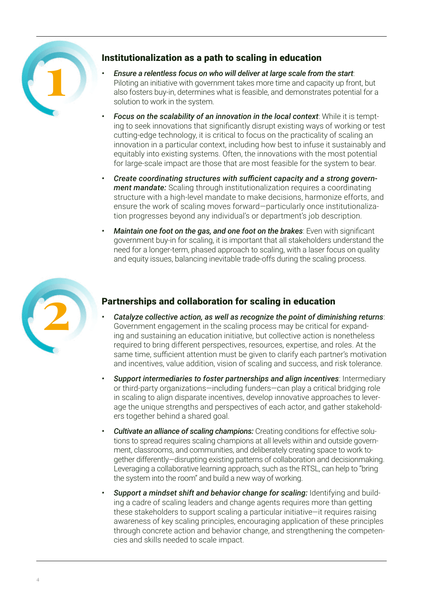

### Institutionalization as a path to scaling in education

- *• Ensure a relentless focus on who will deliver at large scale from the start*: Piloting an initiative with government takes more time and capacity up front, but also fosters buy-in, determines what is feasible, and demonstrates potential for a solution to work in the system.
- *• Focus on the scalability of an innovation in the local context*: While it is tempting to seek innovations that significantly disrupt existing ways of working or test cutting-edge technology, it is critical to focus on the practicality of scaling an innovation in a particular context, including how best to infuse it sustainably and equitably into existing systems. Often, the innovations with the most potential for large-scale impact are those that are most feasible for the system to bear.
- *• Create coordinating structures with sufficient capacity and a strong government mandate:* Scaling through institutionalization requires a coordinating structure with a high-level mandate to make decisions, harmonize efforts, and ensure the work of scaling moves forward—particularly once institutionalization progresses beyond any individual's or department's job description.
- *• Maintain one foot on the gas, and one foot on the brakes*: Even with significant government buy-in for scaling, it is important that all stakeholders understand the need for a longer-term, phased approach to scaling, with a laser focus on quality and equity issues, balancing inevitable trade-offs during the scaling process.



### Partnerships and collaboration for scaling in education

- *• Catalyze collective action, as well as recognize the point of diminishing returns*: Government engagement in the scaling process may be critical for expanding and sustaining an education initiative, but collective action is nonetheless required to bring different perspectives, resources, expertise, and roles. At the same time, sufficient attention must be given to clarify each partner's motivation and incentives, value addition, vision of scaling and success, and risk tolerance.
- *• Support intermediaries to foster partnerships and align incentives*: Intermediary or third-party organizations—including funders—can play a critical bridging role in scaling to align disparate incentives, develop innovative approaches to leverage the unique strengths and perspectives of each actor, and gather stakeholders together behind a shared goal.
- *• Cultivate an alliance of scaling champions:* Creating conditions for effective solutions to spread requires scaling champions at all levels within and outside government, classrooms, and communities, and deliberately creating space to work together differently—disrupting existing patterns of collaboration and decisionmaking. Leveraging a collaborative learning approach, such as the RTSL, can help to "bring the system into the room" and build a new way of working.
- *• Support a mindset shift and behavior change for scaling:* Identifying and building a cadre of scaling leaders and change agents requires more than getting these stakeholders to support scaling a particular initiative—it requires raising awareness of key scaling principles, encouraging application of these principles through concrete action and behavior change, and strengthening the competencies and skills needed to scale impact.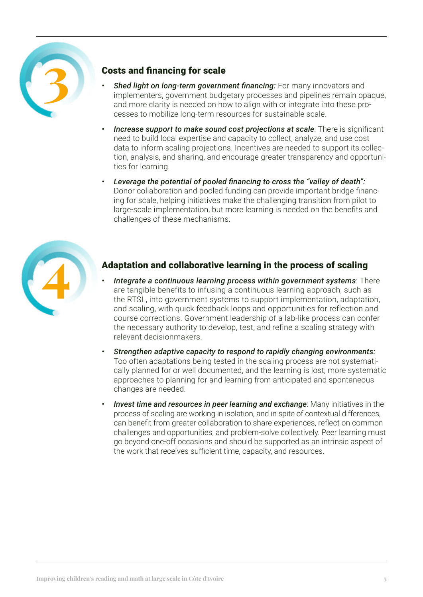

### Costs and financing for scale

- *• Shed light on long-term government financing:* For many innovators and implementers, government budgetary processes and pipelines remain opaque, and more clarity is needed on how to align with or integrate into these processes to mobilize long-term resources for sustainable scale.
- *• Increase support to make sound cost projections at scale*: There is significant need to build local expertise and capacity to collect, analyze, and use cost data to inform scaling projections. Incentives are needed to support its collection, analysis, and sharing, and encourage greater transparency and opportunities for learning.
- *• Leverage the potential of pooled financing to cross the "valley of death":* Donor collaboration and pooled funding can provide important bridge financing for scale, helping initiatives make the challenging transition from pilot to large-scale implementation, but more learning is needed on the benefits and challenges of these mechanisms.



### Adaptation and collaborative learning in the process of scaling

- *• Integrate a continuous learning process within government systems*: There are tangible benefits to infusing a continuous learning approach, such as the RTSL, into government systems to support implementation, adaptation, and scaling, with quick feedback loops and opportunities for reflection and course corrections. Government leadership of a lab-like process can confer the necessary authority to develop, test, and refine a scaling strategy with relevant decisionmakers.
- *• Strengthen adaptive capacity to respond to rapidly changing environments:*  Too often adaptations being tested in the scaling process are not systematically planned for or well documented, and the learning is lost; more systematic approaches to planning for and learning from anticipated and spontaneous changes are needed.
- *Invest time and resources in peer learning and exchange: Many initiatives in the* process of scaling are working in isolation, and in spite of contextual differences, can benefit from greater collaboration to share experiences, reflect on common challenges and opportunities, and problem-solve collectively. Peer learning must go beyond one-off occasions and should be supported as an intrinsic aspect of the work that receives sufficient time, capacity, and resources.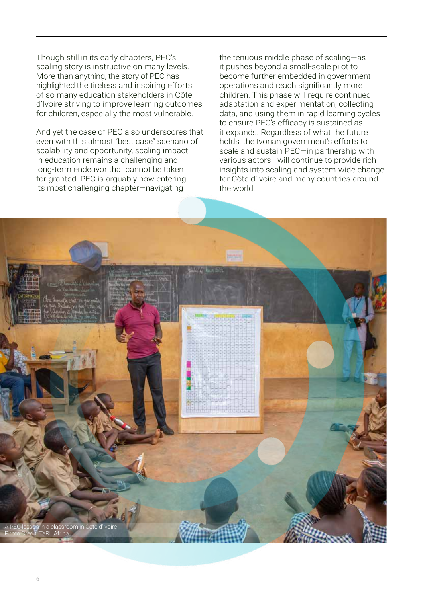Though still in its early chapters, PEC's scaling story is instructive on many levels. More than anything, the story of PEC has highlighted the tireless and inspiring efforts of so many education stakeholders in Côte d'Ivoire striving to improve learning outcomes for children, especially the most vulnerable.

And yet the case of PEC also underscores that even with this almost "best case" scenario of scalability and opportunity, scaling impact in education remains a challenging and long-term endeavor that cannot be taken for granted. PEC is arguably now entering its most challenging chapter—navigating

the tenuous middle phase of scaling—as it pushes beyond a small-scale pilot to become further embedded in government operations and reach significantly more children. This phase will require continued adaptation and experimentation, collecting data, and using them in rapid learning cycles to ensure PEC's efficacy is sustained as it expands. Regardless of what the future holds, the Ivorian government's efforts to scale and sustain PEC—in partnership with various actors—will continue to provide rich insights into scaling and system-wide change for Côte d'Ivoire and many countries around the world.

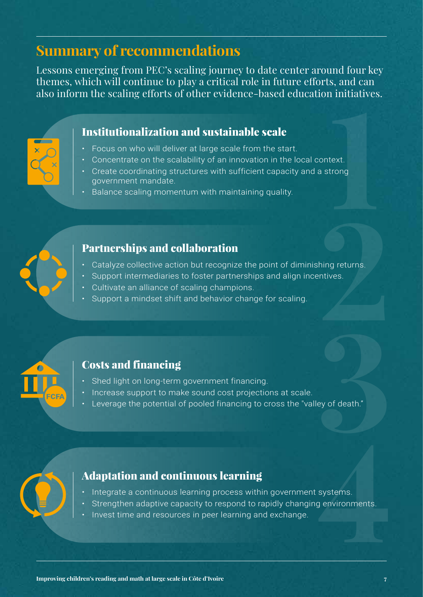## **Summary of recommendations**

Lessons emerging from PEC's scaling journey to date center around four key themes, which will continue to play a critical role in future efforts, and can also inform the scaling efforts of other evidence-based education initiatives.

### Institutionalization and sustainable scale

- Focus on who will deliver at large scale from the start.
- Concentrate on the scalability of an innovation in the local context.
- text.<br>trong<br>**1** • Create coordinating structures with sufficient capacity and a strong government mandate.
- Balance scaling momentum with maintaining quality.



- **Partnerships and collaboration**<br>
Catalyze collective action but recognize the point of diminishing returns.<br>
Support intermediaries to foster partnerships and align incentives.<br>
Cultivate an alliance of scaling cham • Catalyze collective action but recognize the point of diminishing returns.
- Support intermediaries to foster partnerships and align incentives.
- Cultivate an alliance of scaling champions.
- Support a mindset shift and behavior change for scaling.



### Costs and financing

- Shed light on long-term government financing.
- Increase support to make sound cost projections at scale.
- ey of death."<br>**1** • Leverage the potential of pooled financing to cross the "valley of death."



### Adaptation and continuous learning

- Integrate a continuous learning process within government systems.
- systems.<br>g environments.<br><u>and the star of the star of the star of the star</u> Strengthen adaptive capacity to respond to rapidly changing environments.
- Invest time and resources in peer learning and exchange.